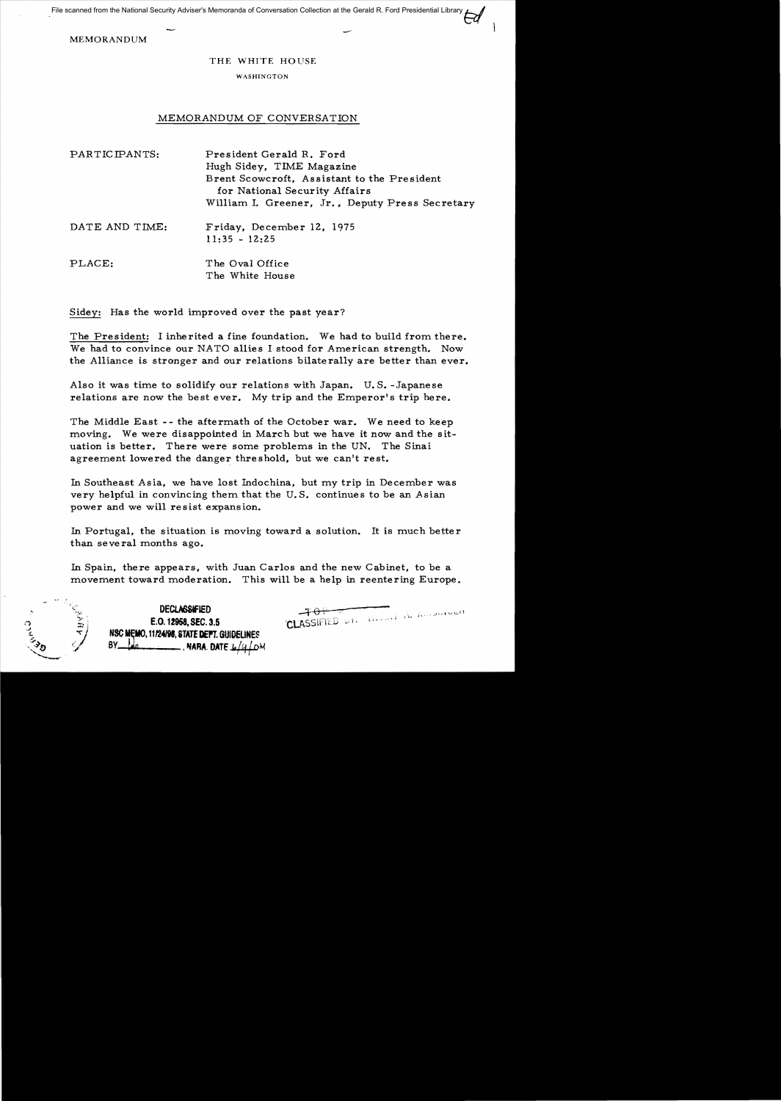File scanned from the National Security Adviser's Memoranda of Conversation Collection at the Gerald R. Ford Presidential Library

MEMORANDUM

## THE WHITE HOUSE

## WASHINGTON

## MEMORANDUM OF CONVERSATION

| PARTICIPANTS:  | President Gerald R. Ford<br>Hugh Sidey, TIME Magazine<br>Brent Scowcroft, Assistant to the President<br>for National Security Affairs<br>William I. Greener, Jr., Deputy Press Secretary |
|----------------|------------------------------------------------------------------------------------------------------------------------------------------------------------------------------------------|
| DATE AND TIME: | Friday, December 12, 1975<br>$11:35 - 12:25$                                                                                                                                             |
| PLACE:         | The Oval Office<br>The White House                                                                                                                                                       |

Sidey: Has the world improved over the past year?

The President: I inherited a fine foundation. We had to build from there. We had to convince our NATO allies I stood for American strength. Now the Alliance is stronger and our relations bilaterally are better than ever.

Also it was time to solidify our relations with Japan. U. S. -Japanese relations are now the best ever. My trip and the Emperor's trip here.

The Middle East -- the aftermath of the October war. We need to keep moving. We were disappointed in March but we have it now and the situation is better. There were some problems in the UN. The Sinai agreement lowered the danger threshold, but we can't rest.

In Southeast Asia, we have lost Indochina, but my trip in December was very helpful in convincing them that the U. S. continues to be an Asian power and we will resist expansion.

In Portugal, the situation is moving toward a solution. It is much better than several months ago.

In Spain, there appears, with Juan Carlos and the new Cabinet, to be a movement toward moderation. This will be a help in reentering Europe.

DECLASSIFIED  $-4\theta +$ **E.O. 12958, SEC. 3.5 'CLASSIFIED** ,  $\cup$  1.1. NSC MEMO, 11/24/98, STATE DEPT. GUIDELINES  $-$  , NARA. DATE  $\pm$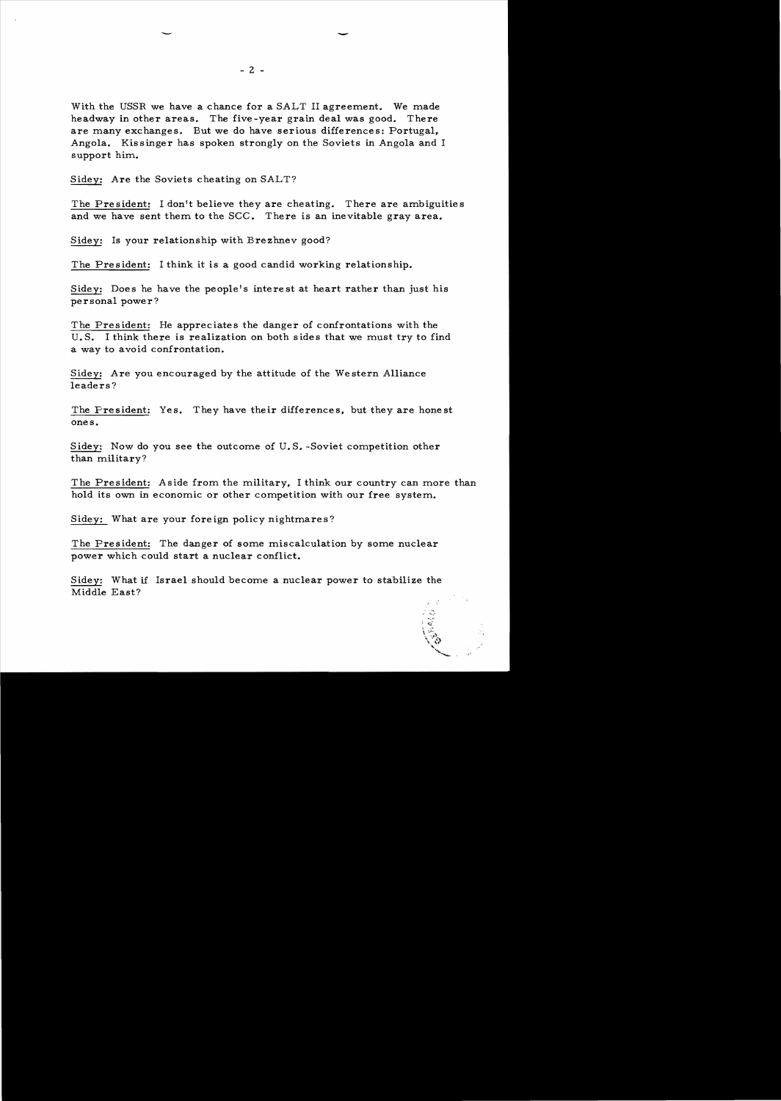With the USSR we have a chance for a SALT II agreement. We made headway in other areas. The five -year grain deal was good. There are many exchanges. But we do have serious differences: Portugal. Angola. Kissinger has spoken strongly on the Soviets in Angola and I support him.

Sidey: Are the Soviets cheating on SALT?

The President: I don't believe they are cheating. There are ambiguities and we have sent them to the SCC. There is an inevitable gray area.

Sidey: Is your relationship with Brezhnev good?

The President: I think it is a good candid working relationship.

Sidey: Does he have the people's interest at heart rather than just his personal power?

The President: He appreciates the danger of confrontations with the U.S. I think there is realization on both sides that we must try to find a way to avoid confrontation.

Sidey: Are you encouraged by the attitude of the Western Alliance leaders?

The President: Yes. They have their differences, but they are honest ones.

Sidey: Now do you see the outcome of U.S. -Soviet competition other than military?

The President: Aside from the military, I think our country can more than hold its own in economic or other competition with our free system.

Sidey: What are your foreign policy nightmares?

The President: The danger of some miscalculation by some nuclear power which could start a nuclear conflict.

Sidey: What if Israel should become a nuclear power to stabilize the Middle East?

> $\mathcal{L}^{\mathcal{M}}$  $\setminus \widetilde{\mathbb{C}}_{\mathbf{y}}$ -,."

> > \ '.{> "'-.

-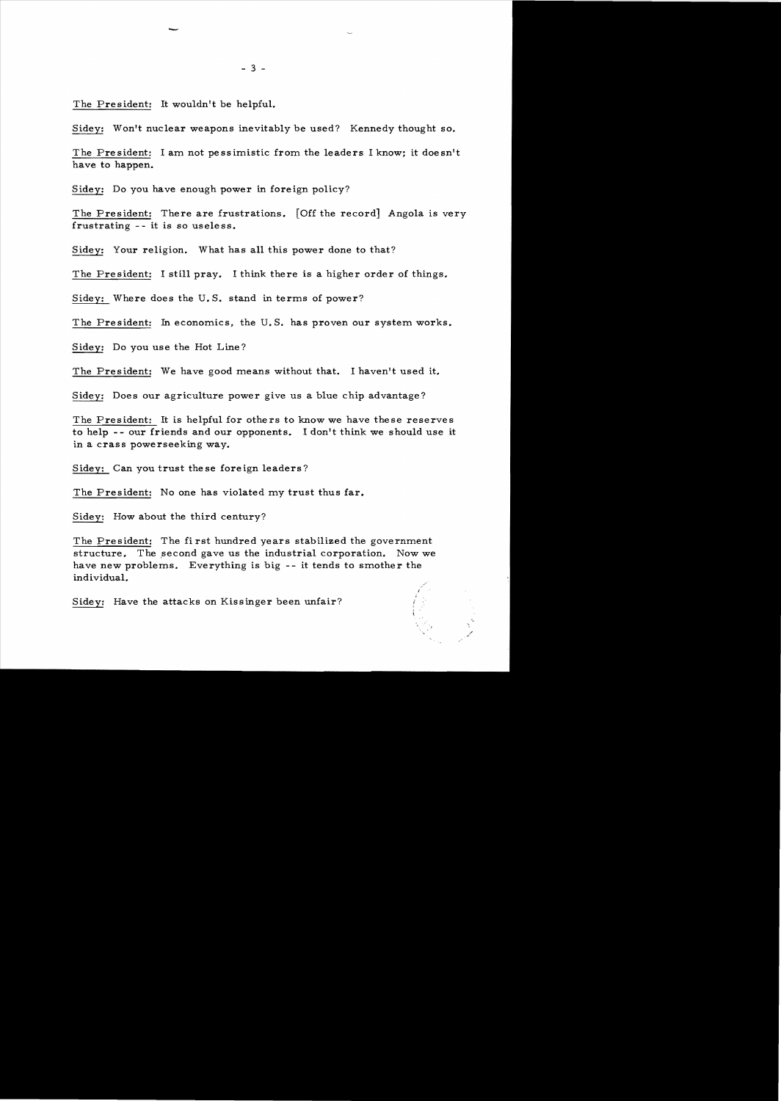The President: It wouldn't be helpful.

-

Sidey: Won't nuclear weapons inevitably be used? Kennedy thought so.

The President: I am not pessimistic from the leaders I know; it doesn't have to happen.

Sidey: Do you have enough power in foreign policy?

The President: There are frustrations. [Off the record] Angola is very frustrating -- it is so useless.

Sidey: Your religion. What has all this power done to that?

The President: I still pray. I think there is a higher order of things.

Sidey: Where does the U. S. stand in terms of power?

The President: In economics, the U. S. has proven our system works.

Sidey: Do you use the Hot Line?

The President: We have good means without that. I haven't used it.

Sidey: Does our agriculture power give us a blue chip advantage?

The President: It is helpful for others to know we have these reserves to help - - our friends and our opponents. I don't think we should use it in a crass powerseeking way.

Sidey: Can you trust these foreign leaders?

The President: No one has violated my trust thus far.

Sidey: How about the third century?

The President: The first hundred years stabilized the government structure. The second gave us the industrial corporation. Now we have new problems. Everything is big -- it tends to smother the individual.

\ .

Sidey: Have the attacks on Kissinger been unfair?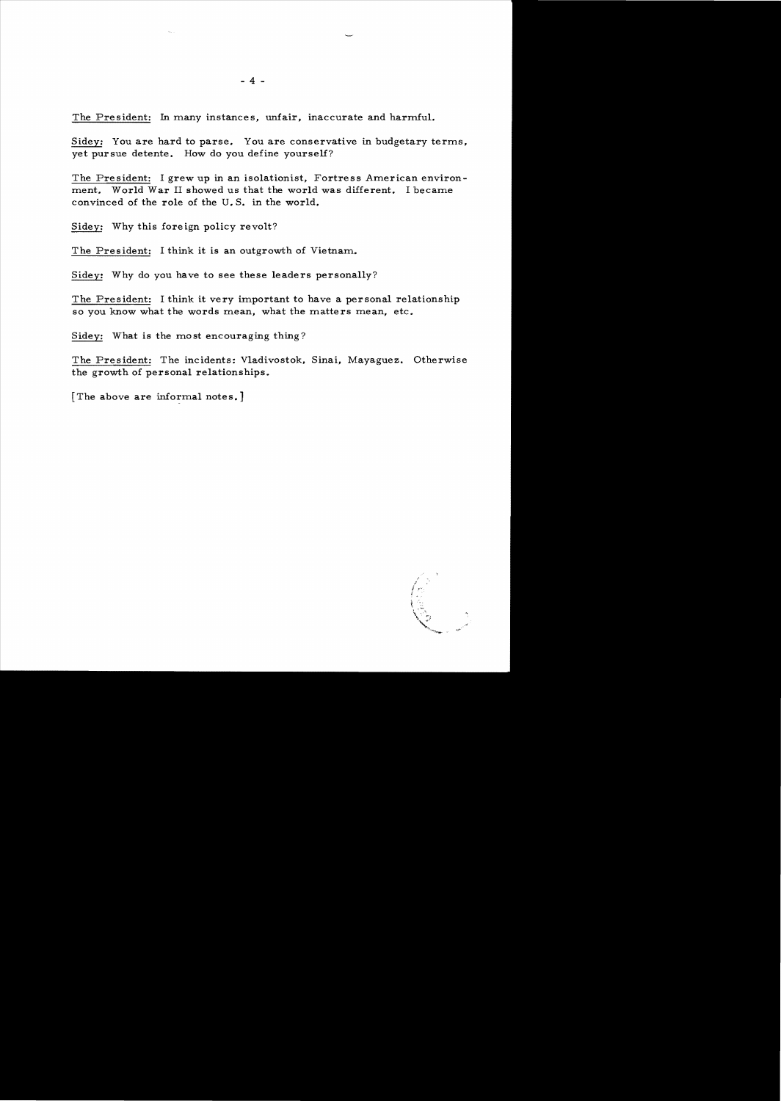The President: In many instances, unfair, inaccurate and harmful.

Sidey: You are hard to parse. You are conservative in budgetary terms, yet pursue detente. How do you define yourself?

The President: I grew up in an isolationist, Fortress American environment. World War II showed us that the world was different. I became convinced of the role of the U. S. in the world.

Sidey: Why this fore ign policy revolt?

The President: I think it is an outgrowth of Vietnam.

Sidey: Why do you have to see these leaders personally?

The President: I think it very important to have a personal relationship so you know what the words mean, what the matters mean, etc.

Sidey: What is the most encouraging thing?

The President: The incidents: Vladivostok, Sinai, Mayaguez. Otherwise the growth of personal relationships.

[The above are informal notes.]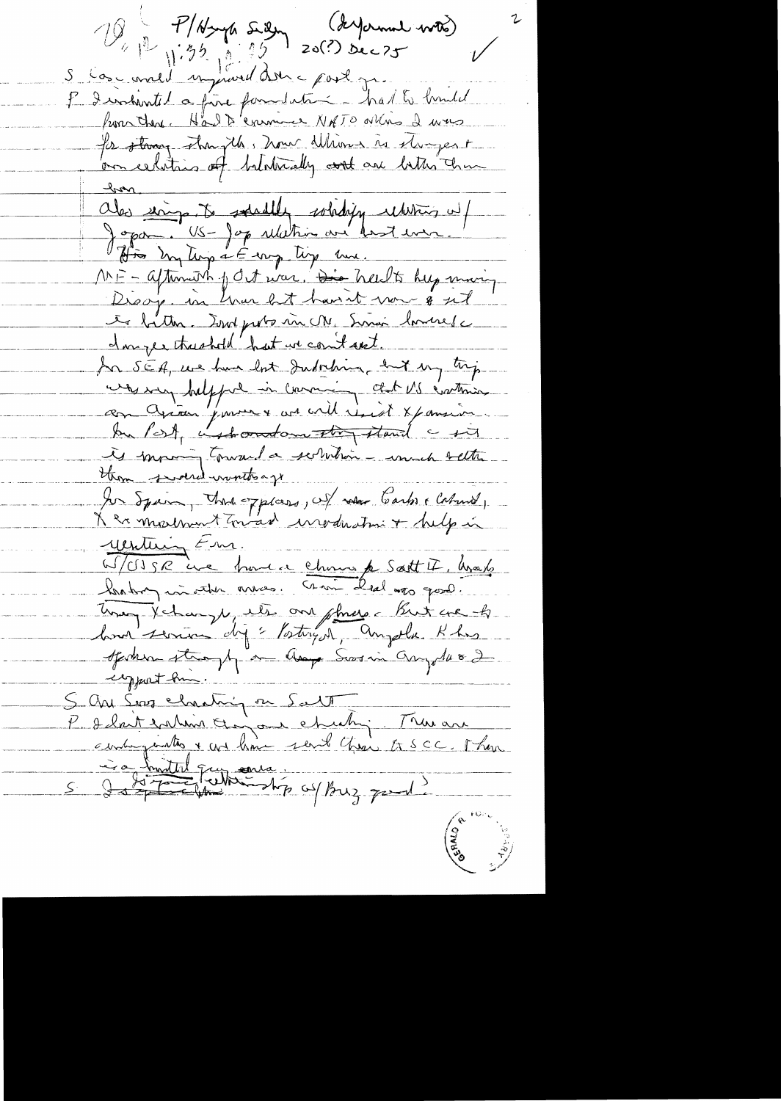O P/Hyp Sien (Suprement word) I I enhantel a fine familiation - had to hundel from the Halp enemier NATO ottro d was for stang stangels, how Whom is stangest on celetions of bilaterally and are better than Oles soings. To saturally soliding returns up It is my time a E eng ting me. MF - afterment of det was. Die heldte help maning Discip in the let have t now 8 sit le bitter. Sont ports un M. Sinai houses I myer thushold hat we count and. In SEA, we have lost Judiching, but my trip au Grand pour la comme des VS évetoires In Post, instruction they stand a six is moving toward a secretaring unnch setter thom swoered wonto ago You Squim, that oxplans, of when Carbo , Calmed, K ex mortment Toward invoduction + help in Wentering Em. W/CJSR ine home e chomo p Soft I, had habin inviter avec croir les mon good. Unig Vehange, ils one phrose But ere k spoken straphy on any Sorin any 1482 egyport from. 5 aves charing on Salt True au S daty To the Manual **CERNO**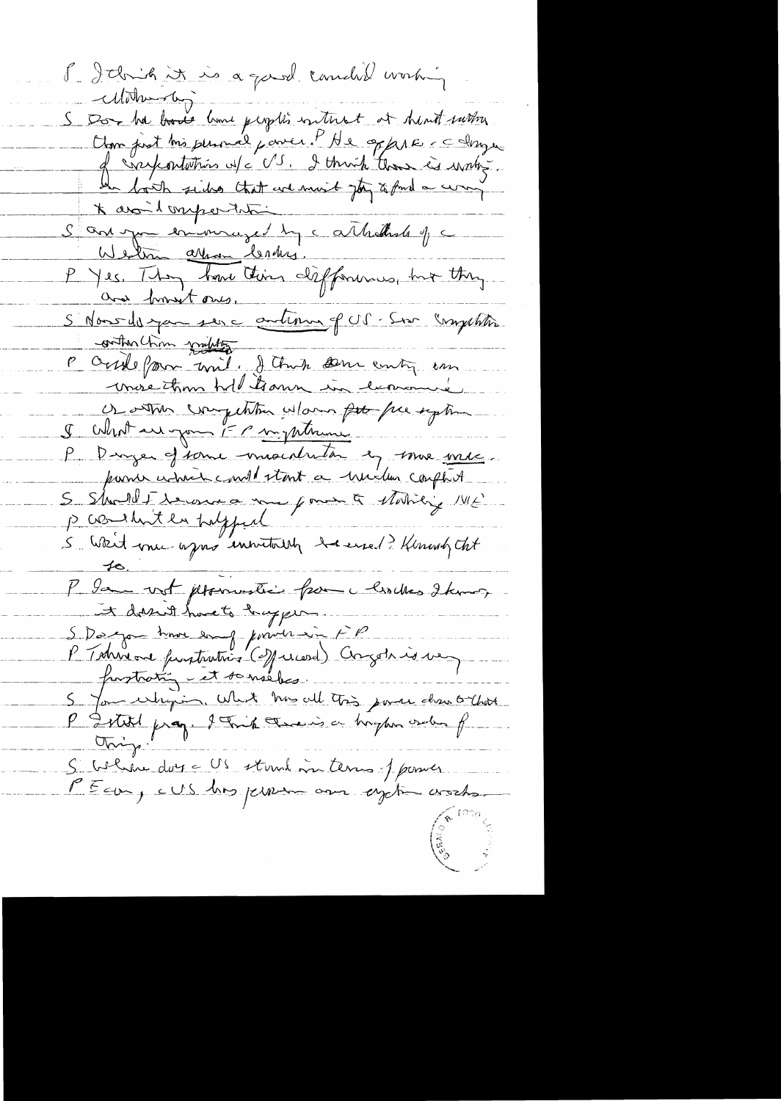8. Ithink it is a good comedit working  $-cl(\vec{v}$ S Don the bood lime people's interest at dent survey.<br>Close just his planned power. PHe oppere colonger<br>of cray contations w/c US. I think than is writing. \* avoit omportation antonne en immuzed du catholiste y c Wednes array Centres. P Jes. They have this differences, but they and from tones. S'Nous-des par seure autenus p US. Sur Competition conther chin military P Outile form unit, Jethuch som entry in more than hold trans in comme Of other competition what por free eight I What are gone if anything P Dinger et sonne miseration en souve une S Should I reconna me pour à Matricie ME 5 Weit me après insuitable de med Minary Cht P la vot promotive from larches temes It dorn't have to happen S Dargon trois and power in FP<br>P Tohrson furturities (2) priced) Congoto is used S blin donc US stand in terms pouver